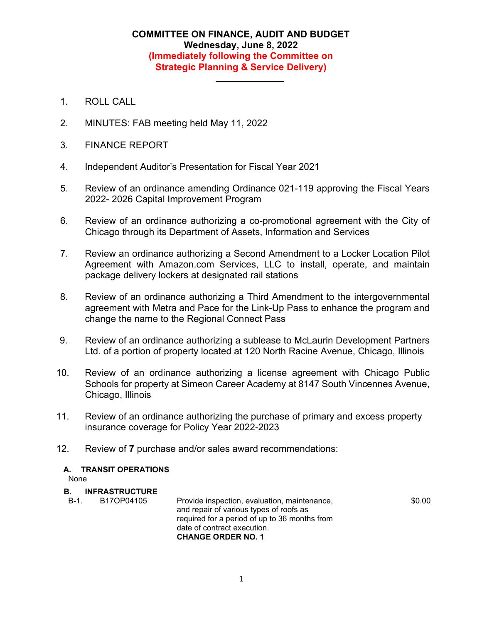## **COMMITTEE ON FINANCE, AUDIT AND BUDGET Wednesday, June 8, 2022 (Immediately following the Committee on Strategic Planning & Service Delivery)**

- 1. ROLL CALL
- 2. MINUTES: FAB meeting held May 11, 2022
- 3. FINANCE REPORT
- 4. Independent Auditor's Presentation for Fiscal Year 2021
- 5. Review of an ordinance amending Ordinance 021-119 approving the Fiscal Years 2022- 2026 Capital Improvement Program
- 6. Review of an ordinance authorizing a co-promotional agreement with the City of Chicago through its Department of Assets, Information and Services
- 7. Review an ordinance authorizing a Second Amendment to a Locker Location Pilot Agreement with Amazon.com Services, LLC to install, operate, and maintain package delivery lockers at designated rail stations
- 8. Review of an ordinance authorizing a Third Amendment to the intergovernmental agreement with Metra and Pace for the Link-Up Pass to enhance the program and change the name to the Regional Connect Pass
- 9. Review of an ordinance authorizing a sublease to McLaurin Development Partners Ltd. of a portion of property located at 120 North Racine Avenue, Chicago, Illinois
- 10. Review of an ordinance authorizing a license agreement with Chicago Public Schools for property at Simeon Career Academy at 8147 South Vincennes Avenue, Chicago, Illinois
- 11. Review of an ordinance authorizing the purchase of primary and excess property insurance coverage for Policy Year 2022-2023
- 12. Review of **7** purchase and/or sales award recommendations:

## **A. TRANSIT OPERATIONS**

None

## **B. INFRASTRUCTURE**

B-1. B17OP04105 Provide inspection, evaluation, maintenance, and repair of various types of roofs as required for a period of up to 36 months from date of contract execution. **CHANGE ORDER NO. 1** \$0.00